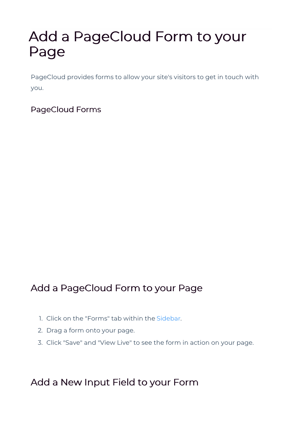# Add a PageCloud Form to your Page

PageCloud provides forms to allow your site's visitors to get in touch with you.

PageCloud Forms

## Add a PageCloud Form to your Page

- 1. Click on the "Forms" tab within the Sidebar.
- 2. Drag a form onto your page.
- 3. Click "Save" and "View Live" to see the form in action on your page.

## Add a New Input Field to your Form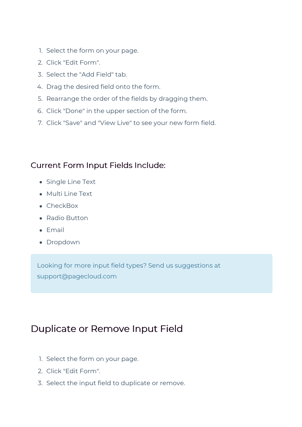- 1. Select the form on your page.
- 2. Click "Edit Form".
- 3. Select the "Add Field" tab.
- 4. Drag the desired field onto the form.
- 5. Rearrange the order of the fields by dragging them.
- 6. Click "Done" in the upper section of the form.
- 7. Click "Save" and "View Live" to see your new form field.

#### Current Form Input Fields Include:

- Single Line Text
- Multi Line Text
- CheckBox
- Radio Button
- Email
- Dropdown

Looking for more input field types? Send us suggestions at support@pagecloud.com

#### Duplicate or Remove Input Field

- 1. Select the form on your page.
- 2. Click "Edit Form".
- 3. Select the input field to duplicate or remove.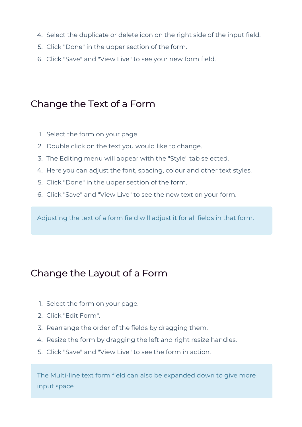- 4. Select the duplicate or delete icon on the right side of the input field.
- 5. Click "Done" in the upper section of the form.
- 6. Click "Save" and "View Live" to see your new form field.

# Change the Text of a Form

- 1. Select the form on your page.
- 2. Double click on the text you would like to change.
- 3. The Editing menu will appear with the "Style" tab selected.
- 4. Here you can adjust the font, spacing, colour and other text styles.
- 5. Click "Done" in the upper section of the form.
- 6. Click "Save" and "View Live" to see the new text on your form.

Adjusting the text of a form field will adjust it for all fields in that form.

# Change the Layout of a Form

- 1. Select the form on your page.
- 2. Click "Edit Form".
- 3. Rearrange the order of the fields by dragging them.
- 4. Resize the form by dragging the left and right resize handles.
- 5. Click "Save" and "View Live" to see the form in action.

The Multi-line text form field can also be expanded down to give more input space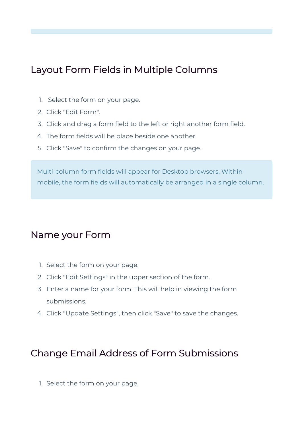## Layout Form Fields in Multiple Columns

- 1. Select the form on your page.
- 2. Click "Edit Form".
- 3. Click and drag a form field to the left or right another form field.
- 4. The form fields will be place beside one another.
- 5. Click "Save" to confirm the changes on your page.

Multi-column form fields will appear for Desktop browsers. Within mobile, the form fields will automatically be arranged in a single column.

#### Name your Form

- 1. Select the form on your page.
- 2. Click "Edit Settings" in the upper section of the form.
- 3. Enter a name for your form. This will help in viewing the form submissions.
- 4. Click "Update Settings", then click "Save" to save the changes.

# Change Email Address of Form Submissions

1. Select the form on your page.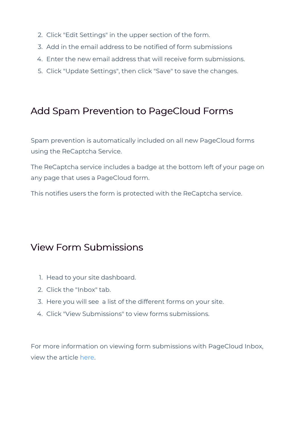- 2. Click "Edit Settings" in the upper section of the form.
- 3. Add in the email address to be notified of form submissions
- 4. Enter the new email address that will receive form submissions.
- 5. Click "Update Settings", then click "Save" to save the changes.

#### Add Spam Prevention to PageCloud Forms

Spam prevention is automatically included on all new PageCloud forms using the ReCaptcha Service.

The ReCaptcha service includes a badge at the bottom left of your page on any page that uses a PageCloud form.

This notifies users the form is protected with the ReCaptcha service.

#### View Form Submissions

- 1. Head to your site dashboard.
- 2. Click the "Inbox" tab.
- 3. Here you will see a list of the different forms on your site.
- 4. Click "View Submissions" to view forms submissions.

For more information on viewing form submissions with PageCloud Inbox, view the article here.